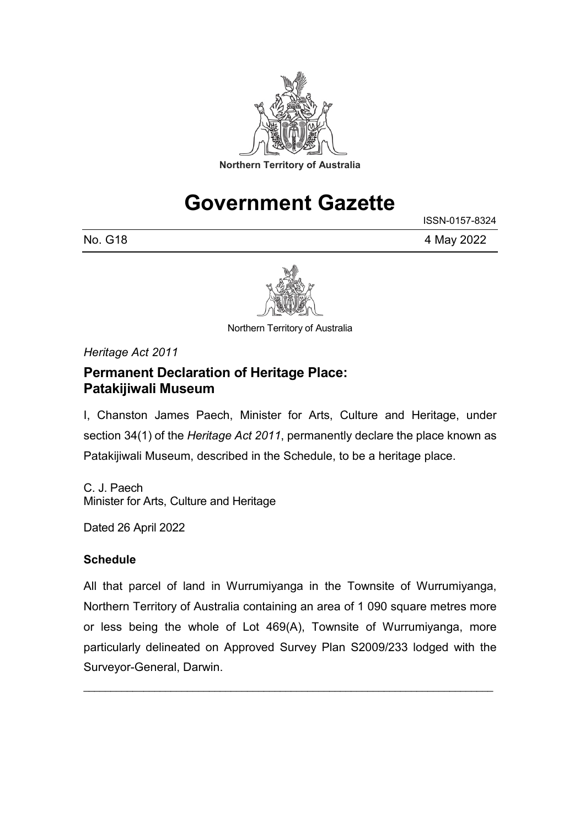

# **Government Gazette**

ISSN-0157-8324

No. G18 4 May 2022



Northern Territory of Australia

*Heritage Act 2011*

### **Permanent Declaration of Heritage Place: Patakijiwali Museum**

I, Chanston James Paech, Minister for Arts, Culture and Heritage, under section 34(1) of the *Heritage Act 2011*, permanently declare the place known as Patakijiwali Museum, described in the Schedule, to be a heritage place.

C. J. Paech Minister for Arts, Culture and Heritage

Dated 26 April 2022

### **Schedule**

All that parcel of land in Wurrumiyanga in the Townsite of Wurrumiyanga, Northern Territory of Australia containing an area of 1 090 square metres more or less being the whole of Lot 469(A), Townsite of Wurrumiyanga, more particularly delineated on Approved Survey Plan S2009/233 lodged with the Surveyor-General, Darwin.

\_\_\_\_\_\_\_\_\_\_\_\_\_\_\_\_\_\_\_\_\_\_\_\_\_\_\_\_\_\_\_\_\_\_\_\_\_\_\_\_\_\_\_\_\_\_\_\_\_\_\_\_\_\_\_\_\_\_\_\_\_\_\_\_\_\_\_\_\_\_\_\_\_\_\_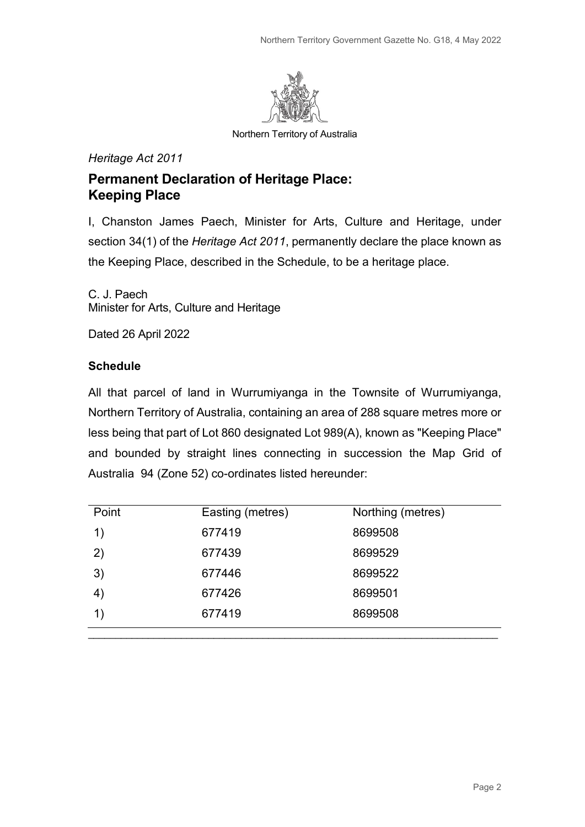

Northern Territory of Australia

#### *Heritage Act 2011*

### **Permanent Declaration of Heritage Place: Keeping Place**

I, Chanston James Paech, Minister for Arts, Culture and Heritage, under section 34(1) of the *Heritage Act 2011*, permanently declare the place known as the Keeping Place, described in the Schedule, to be a heritage place.

C. J. Paech Minister for Arts, Culture and Heritage

Dated 26 April 2022

#### **Schedule**

All that parcel of land in Wurrumiyanga in the Townsite of Wurrumiyanga, Northern Territory of Australia, containing an area of 288 square metres more or less being that part of Lot 860 designated Lot 989(A), known as "Keeping Place" and bounded by straight lines connecting in succession the Map Grid of Australia 94 (Zone 52) co-ordinates listed hereunder:

| Point | Easting (metres) | Northing (metres) |
|-------|------------------|-------------------|
| 1)    | 677419           | 8699508           |
| 2)    | 677439           | 8699529           |
| 3)    | 677446           | 8699522           |
| 4)    | 677426           | 8699501           |
|       | 677419           | 8699508           |
|       |                  |                   |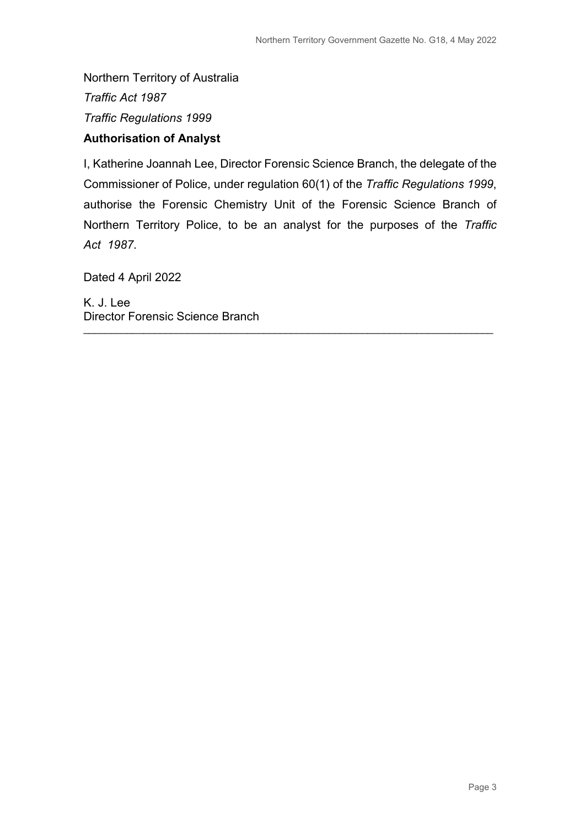Northern Territory of Australia *Traffic Act 1987 Traffic Regulations 1999*

### **Authorisation of Analyst**

I, Katherine Joannah Lee, Director Forensic Science Branch, the delegate of the Commissioner of Police, under regulation 60(1) of the *Traffic Regulations 1999*, authorise the Forensic Chemistry Unit of the Forensic Science Branch of Northern Territory Police, to be an analyst for the purposes of the *Traffic Act 1987*.

\_\_\_\_\_\_\_\_\_\_\_\_\_\_\_\_\_\_\_\_\_\_\_\_\_\_\_\_\_\_\_\_\_\_\_\_\_\_\_\_\_\_\_\_\_\_\_\_\_\_\_\_\_\_\_\_\_\_\_\_\_\_\_\_\_\_\_\_\_\_\_\_\_\_\_

Dated 4 April 2022

K. J. Lee Director Forensic Science Branch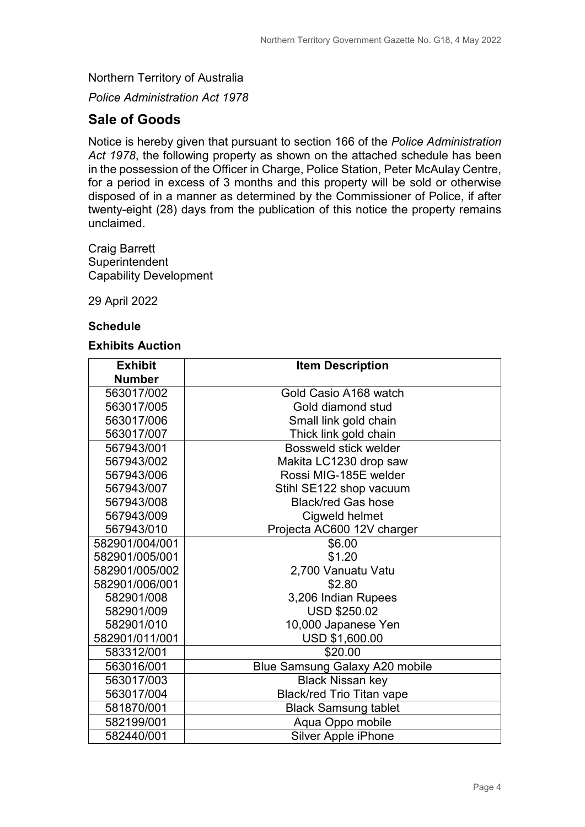Northern Territory of Australia

*Police Administration Act 1978*

### **Sale of Goods**

Notice is hereby given that pursuant to section 166 of the *Police Administration Act 1978*, the following property as shown on the attached schedule has been in the possession of the Officer in Charge, Police Station, Peter McAulay Centre, for a period in excess of 3 months and this property will be sold or otherwise disposed of in a manner as determined by the Commissioner of Police, if after twenty-eight (28) days from the publication of this notice the property remains unclaimed.

Craig Barrett **Superintendent** Capability Development

29 April 2022

#### **Schedule**

#### **Exhibits Auction**

| <b>Exhibit</b> | <b>Item Description</b>               |  |
|----------------|---------------------------------------|--|
| <b>Number</b>  |                                       |  |
| 563017/002     | Gold Casio A168 watch                 |  |
| 563017/005     | Gold diamond stud                     |  |
| 563017/006     | Small link gold chain                 |  |
| 563017/007     | Thick link gold chain                 |  |
| 567943/001     | Bossweld stick welder                 |  |
| 567943/002     | Makita LC1230 drop saw                |  |
| 567943/006     | Rossi MIG-185E welder                 |  |
| 567943/007     | Stihl SE122 shop vacuum               |  |
| 567943/008     | <b>Black/red Gas hose</b>             |  |
| 567943/009     | Cigweld helmet                        |  |
| 567943/010     | Projecta AC600 12V charger            |  |
| 582901/004/001 | \$6.00                                |  |
| 582901/005/001 | \$1.20                                |  |
| 582901/005/002 | 2,700 Vanuatu Vatu                    |  |
| 582901/006/001 | \$2.80                                |  |
| 582901/008     | 3,206 Indian Rupees                   |  |
| 582901/009     | <b>USD \$250.02</b>                   |  |
| 582901/010     | 10,000 Japanese Yen                   |  |
| 582901/011/001 | USD \$1,600.00                        |  |
| 583312/001     | \$20.00                               |  |
| 563016/001     | <b>Blue Samsung Galaxy A20 mobile</b> |  |
| 563017/003     | <b>Black Nissan key</b>               |  |
| 563017/004     | <b>Black/red Trio Titan vape</b>      |  |
| 581870/001     | <b>Black Samsung tablet</b>           |  |
| 582199/001     | Aqua Oppo mobile                      |  |
| 582440/001     | <b>Silver Apple iPhone</b>            |  |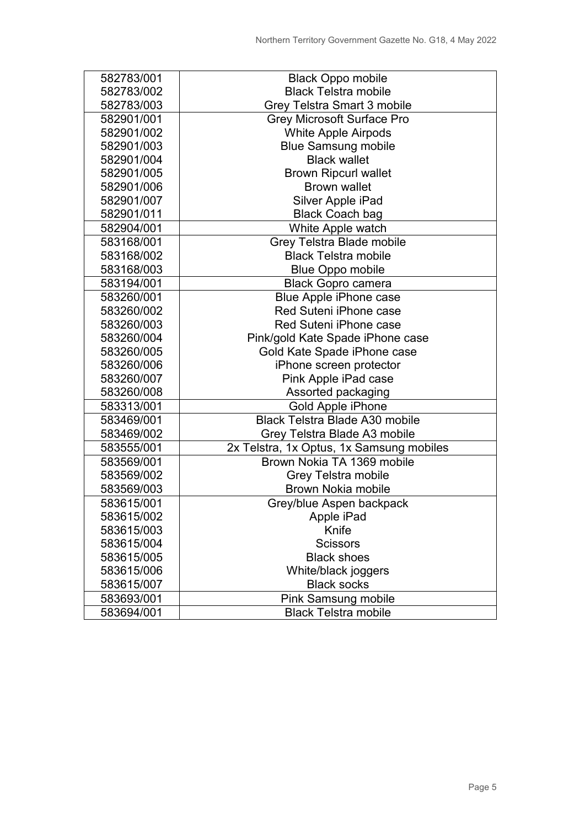| 582783/001 | <b>Black Oppo mobile</b>                 |  |
|------------|------------------------------------------|--|
| 582783/002 | <b>Black Telstra mobile</b>              |  |
| 582783/003 | Grey Telstra Smart 3 mobile              |  |
| 582901/001 | <b>Grey Microsoft Surface Pro</b>        |  |
| 582901/002 | <b>White Apple Airpods</b>               |  |
| 582901/003 | <b>Blue Samsung mobile</b>               |  |
| 582901/004 | <b>Black wallet</b>                      |  |
| 582901/005 | <b>Brown Ripcurl wallet</b>              |  |
| 582901/006 | <b>Brown wallet</b>                      |  |
| 582901/007 | Silver Apple iPad                        |  |
| 582901/011 | <b>Black Coach bag</b>                   |  |
| 582904/001 | White Apple watch                        |  |
| 583168/001 | Grey Telstra Blade mobile                |  |
| 583168/002 | <b>Black Telstra mobile</b>              |  |
| 583168/003 | <b>Blue Oppo mobile</b>                  |  |
| 583194/001 | <b>Black Gopro camera</b>                |  |
| 583260/001 | Blue Apple iPhone case                   |  |
| 583260/002 | Red Suteni iPhone case                   |  |
| 583260/003 | Red Suteni iPhone case                   |  |
| 583260/004 | Pink/gold Kate Spade iPhone case         |  |
| 583260/005 | Gold Kate Spade iPhone case              |  |
| 583260/006 | iPhone screen protector                  |  |
| 583260/007 | Pink Apple iPad case                     |  |
| 583260/008 | Assorted packaging                       |  |
| 583313/001 | Gold Apple iPhone                        |  |
| 583469/001 | <b>Black Telstra Blade A30 mobile</b>    |  |
| 583469/002 | Grey Telstra Blade A3 mobile             |  |
| 583555/001 | 2x Telstra, 1x Optus, 1x Samsung mobiles |  |
| 583569/001 | Brown Nokia TA 1369 mobile               |  |
| 583569/002 | <b>Grey Telstra mobile</b>               |  |
| 583569/003 | <b>Brown Nokia mobile</b>                |  |
| 583615/001 | Grey/blue Aspen backpack                 |  |
| 583615/002 | Apple iPad                               |  |
| 583615/003 | Knife                                    |  |
| 583615/004 | <b>Scissors</b>                          |  |
| 583615/005 | <b>Black shoes</b>                       |  |
| 583615/006 | White/black joggers                      |  |
| 583615/007 | <b>Black socks</b>                       |  |
| 583693/001 | <b>Pink Samsung mobile</b>               |  |
| 583694/001 | <b>Black Telstra mobile</b>              |  |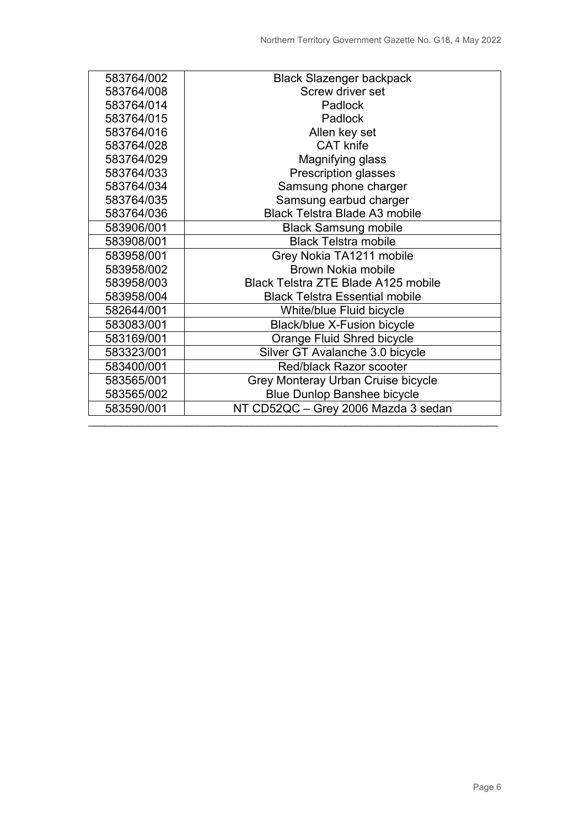| 583764/002 | <b>Black Slazenger backpack</b>            |  |
|------------|--------------------------------------------|--|
| 583764/008 | Screw driver set                           |  |
| 583764/014 | <b>Padlock</b>                             |  |
| 583764/015 | Padlock                                    |  |
| 583764/016 | Allen key set                              |  |
| 583764/028 | <b>CAT</b> knife                           |  |
| 583764/029 | Magnifying glass                           |  |
| 583764/033 | <b>Prescription glasses</b>                |  |
| 583764/034 | Samsung phone charger                      |  |
| 583764/035 | Samsung earbud charger                     |  |
| 583764/036 | <b>Black Telstra Blade A3 mobile</b>       |  |
| 583906/001 | <b>Black Samsung mobile</b>                |  |
| 583908/001 | <b>Black Telstra mobile</b>                |  |
| 583958/001 | Grey Nokia TA1211 mobile                   |  |
| 583958/002 | <b>Brown Nokia mobile</b>                  |  |
| 583958/003 | <b>Black Telstra ZTE Blade A125 mobile</b> |  |
| 583958/004 | <b>Black Telstra Essential mobile</b>      |  |
| 582644/001 | White/blue Fluid bicycle                   |  |
| 583083/001 | <b>Black/blue X-Fusion bicycle</b>         |  |
| 583169/001 | Orange Fluid Shred bicycle                 |  |
| 583323/001 | Silver GT Avalanche 3.0 bicycle            |  |
| 583400/001 | <b>Red/black Razor scooter</b>             |  |
| 583565/001 | Grey Monteray Urban Cruise bicycle         |  |
| 583565/002 | <b>Blue Dunlop Banshee bicycle</b>         |  |
| 583590/001 | NT CD52QC - Grey 2006 Mazda 3 sedan        |  |
|            |                                            |  |